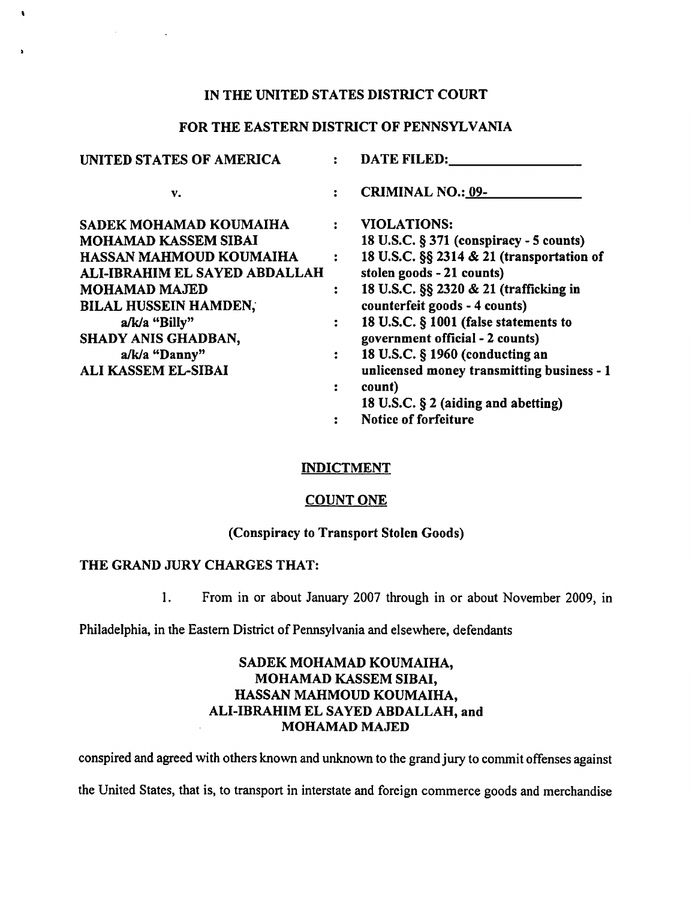# IN THE UNITED STATES DISTRICT COURT

# FOR THE EASTERN DISTRICT OF PENNSYLVANIA

| <b>UNITED STATES OF AMERICA</b>                                                                                                                                                                                                                                         |                                                                                  | <b>DATE FILED:</b>                                                                                                                                                                                                                                                                                                                                                              |
|-------------------------------------------------------------------------------------------------------------------------------------------------------------------------------------------------------------------------------------------------------------------------|----------------------------------------------------------------------------------|---------------------------------------------------------------------------------------------------------------------------------------------------------------------------------------------------------------------------------------------------------------------------------------------------------------------------------------------------------------------------------|
| v.                                                                                                                                                                                                                                                                      |                                                                                  | <b>CRIMINAL NO.: 09-</b>                                                                                                                                                                                                                                                                                                                                                        |
| SADEK MOHAMAD KOUMAIHA<br><b>MOHAMAD KASSEM SIBAI</b><br>HASSAN MAHMOUD KOUMAIHA<br>ALI-IBRAHIM EL SAYED ABDALLAH<br><b>MOHAMAD MAJED</b><br><b>BILAL HUSSEIN HAMDEN,</b><br>a/k/a "Billy"<br><b>SHADY ANIS GHADBAN,</b><br>a/k/a "Danny"<br><b>ALI KASSEM EL-SIBAI</b> | $\ddot{\phantom{a}}$<br>$\ddot{\cdot}$<br>$\ddot{\phantom{a}}$<br>$\ddot{\cdot}$ | <b>VIOLATIONS:</b><br>18 U.S.C. § 371 (conspiracy - 5 counts)<br>18 U.S.C. §§ 2314 & 21 (transportation of<br>stolen goods - 21 counts)<br>18 U.S.C. §§ 2320 & 21 (trafficking in<br>counterfeit goods - 4 counts)<br>18 U.S.C. § 1001 (false statements to<br>government official - 2 counts)<br>18 U.S.C. § 1960 (conducting an<br>unlicensed money transmitting business - 1 |
|                                                                                                                                                                                                                                                                         | :                                                                                | count)<br>18 U.S.C. § 2 (aiding and abetting)                                                                                                                                                                                                                                                                                                                                   |

Notice of forfeiture  $\ddot{\cdot}$ 

## INDICTMENT

#### COUNT ONE

# (Conspiracy to Transport Stolen Goods)

# THE GRAND JURY CHARGES THAT:

 $\bullet$ 

1. From in or about January 2007 through in or about November 2009, in

Philadelphia, in the Eastern District of Pennsylvania and elsewhere, defendants

# SADEK MOHAMAD KOUMAIHA, MOHAMAD KASSEM SIBAI, HASSAN MAHMOUD KOUMAIHA, ALI-IBRAHIM EL SAYED ABDALLAH, and MOHAMAD MAJED

conspired and agreed with others known and unknown to the grand jury to commit offenses against

the United States, that is, to transport in interstate and foreign commerce goods and merchandise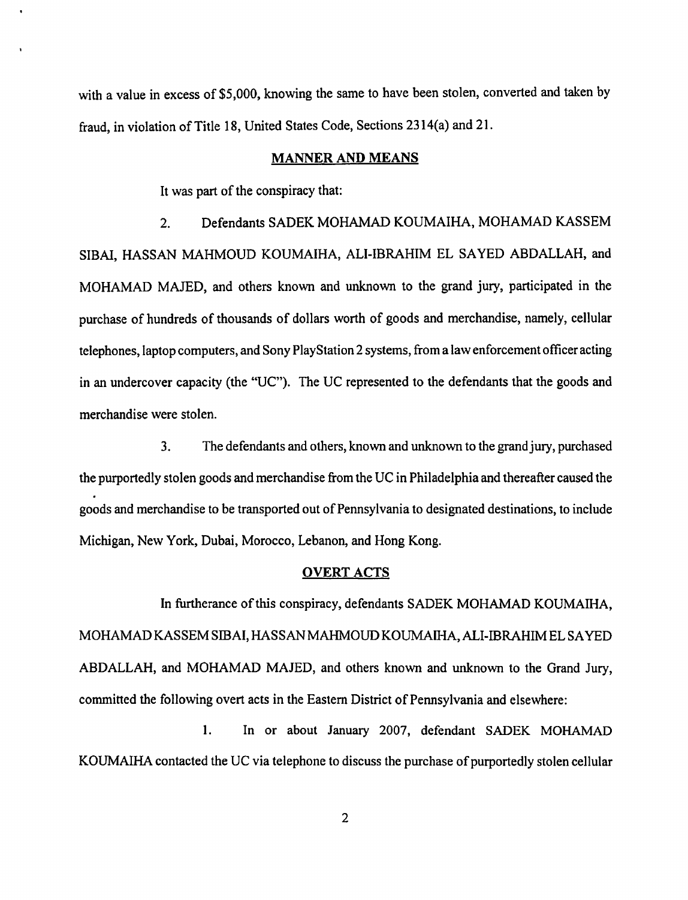with a value in excess of \$5,000, knowing the same to have been stolen, converted and taken by fraud, in violation of Title 18, United States Code, Sections 2314(a) and 21.

## MANNER AND MEANS

It was part of the conspiracy that:

2. Defendants SADEK MOHAMAD KOUMAIHA, MOHAMAD KASSEM SIBAI, HASSAN MAHMOUD KOUMAIHA, ALI-IBRAHIM EL SAYED ABDALLAH, and MOHAMAD MAJED, and others known and unknown to the grand jury, participated in the purchase of hundreds of thousands of dollars worth of goods and merchandise, namely, cellular telephones, laptop computers, and Sony PlayStation 2 systems, from a law enforcement officer acting in an undercover capacity (the "UC"). The UC represented to the defendants that the goods and merchandise were stolen.

3. The defendants and others, known and unknown to the grand jury, purchased the purportedly stolen goods and merchandise from the UC in Philadelphia and thereafter caused the goods and merchandise to be transported out of Pennsylvania to designated destinations, to include Michigan, New York, Dubai, Morocco, Lebanon, and Hong Kong.

## OVERT ACTS

In furtherance of this conspiracy, defendants SADEK MOHAMAD KOUMAIHA, MOHAMAD KASSEM SIBAI, HASSAN MAHMOUD KOUMAIHA, ALI-IBRAHIM EL SAYED ABDALLAH, and MOHAMAD MAJED, and others known and unknown to the Grand Jury, committed the following overt acts in the Eastern District of Pennsylvania and elsewhere:

1. In or about January 2007, defendant SADEK MOHAMAD KOUMAIHA contacted the UC via telephone to discuss the purchase of purportedly stolen cellular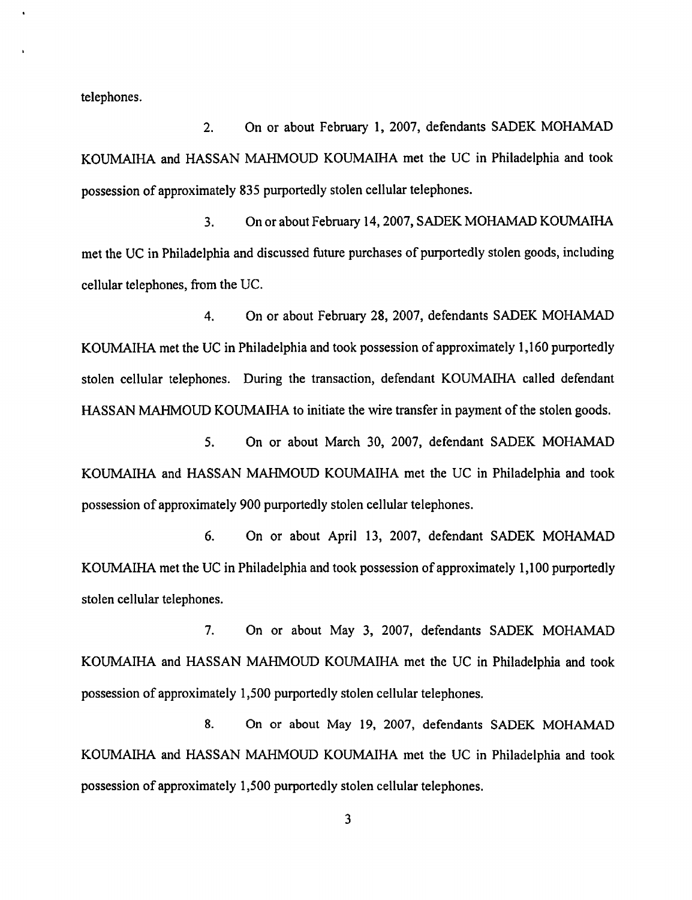telephones.

2. On or about February 1, 2007, defendants SADEK MOHAMAD KOUMAIHA and HASSAN MAHMOUD KOUMAIHA met the UC in Philadelphia and took possession of approximately 835 purportedly stolen cellular telephones.

3. On or about February 14, 2007, SADEK MOHAMAD KOUMAlHA met the UC in Philadelphia and discussed future purchases of purportedly stolen goods, including cellular telephones, from the UC.

4. On or about February 28, 2007, defendants SADEK MOHAMAD KOUMAIHA met the UC in Philadelphia and took possession of approximately 1,160 purportedly stolen cellular telephones. During the transaction, defendant KOUMAIHA called defendant HASSAN MAHMOUD KOUMAIHA to initiate the wire transfer in payment of the stolen goods.

5. On or about March 30, 2007, defendant SADEK MOHAMAD KOUMAIHA and HASSAN MAHMOUD KOUMAIHA met the UC in Philadelphia and took possession of approximately 900 purportedly stolen cellular telephones.

6. On or about April 13, 2007, defendant SADEK MOHAMAD KOUMAIHA met the UC in Philadelphia and took possession of approximately 1,100 purportedly stolen cellular telephones.

7. On or about May 3, 2007, defendants SADEK MOHAMAD KOUMAIHA and HASSAN MAHMOUD KOUMAIHA met the UC in Philadelphia and took possession of approximately 1,500 purportedly stolen cellular telephones.

8. On or about May 19, 2007, defendants SADEK MOHAMAD KOUMAlHA and HASSAN MAHMOUD KOUMAIHA met the UC in Philadelphia and took possession of approximately 1,500 purportedly stolen cellular telephones.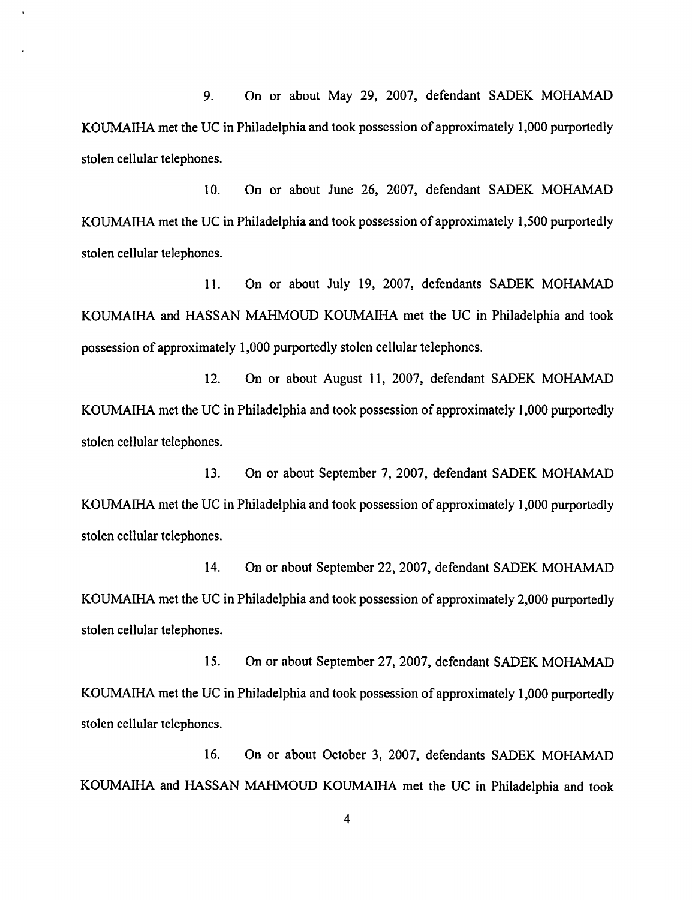9. On or about May 29, 2007, defendant SADEK MOHAMAD KOUMAlHA met the UC in Philadelphia and took possession of approximately 1,000 purportedly stolen cellular telephones.

10. On or about June 26, 2007, defendant SADEK MOHAMAD KOUMAlHA met the UC in Philadelphia and took possession of approximately 1,500 purportedly stolen cellular telephones.

11. On or about July 19, 2007, defendants SADEK MOHAMAD KOUMAIHA and HASSAN MAHMOUD KOUMAIHA met the UC in Philadelphia and took possession of approximately 1,000 purportedly stolen cellular telephones.

12. On or about August 11, 2007, defendant SADEK MOHAMAD KOUMAlHA met the UC in Philadelphia and took possession of approximately 1,000 purportedly stolen cellular telephones.

13. On or about September 7, 2007, defendant SADEK MOHAMAD KOUMAIHA met the UC in Philadelphia and took possession of approximately 1,000 purportedly stolen cellular telephones.

14. On or about September 22, 2007, defendant SADEK MOHAMAD KOUMAIHA met the UC in Philadelphia and took possession of approximately 2,000 purportedly stolen cellular telephones.

15. On or about September 27,2007, defendant SADEK MOHAMAD KOUMAIHA met the UC in Philadelphia and took possession of approximately 1,000 purportedly stolen cellular telephones.

16. On or about October 3, 2007, defendants SADEK MOHAMAD KOUMAIHA and HASSAN MAHMOUD KOUMAIHA met the UC in Philadelphia and took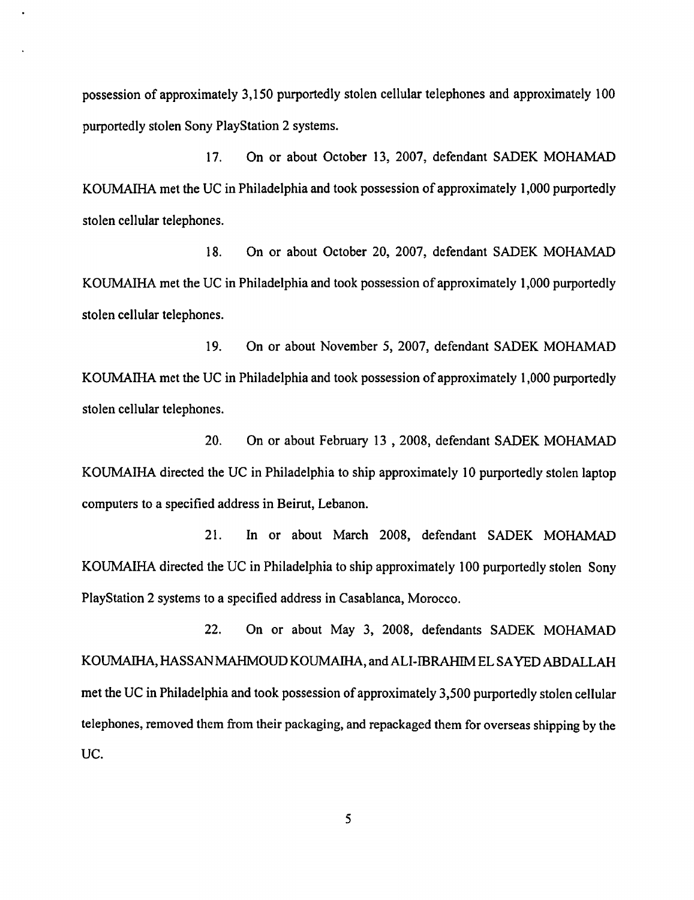possession of approximately 3,150 purportedly stolen cellular telephones and approximately 100 purportedly stolen Sony PlayStation 2 systems.

17. On or about October 13, 2007, defendant SADEK MOHAMAD KOUMAIHA met the UC in Philadelphia and took possession of approximately 1,000 purportedly stolen cellular telephones.

18. On or about October 20, 2007, defendant SADEK MOHAMAD KOUMAIHA met the UC in Philadelphia and took possession of approximately 1,000 purportedly stolen cellular telephones.

19. On or about November 5, 2007, defendant SADEK MOHAMAD KOUMAIHA met the UC in Philadelphia and took possession of approximately 1,000 purportedly stolen cellular telephones.

20. On or about February 13 , 2008, defendant SADEK MOHAMAD KOUMAIHA directed the UC in Philadelphia to ship approximately 10 purportedly stolen laptop computers to a specified address in Beirut, Lebanon.

21. In or about March 2008, defendant SADEK MOHAMAD KOUMAIHA directed the UC in Philadelphia to ship approximately 100 purportedly stolen Sony PlayStation 2 systems to a specified address in Casablanca, Morocco.

22. On or about May 3, 2008, defendants SADEK MOHAMAD KOUMAIHA, HASSAN MAHMOUD KOUMAIHA, and ALI-IBRAHIM EL SAYED ABDALLAH met the UC in Philadelphia and took possession of approximately 3,500 purportedly stolen cellular telephones, removed them from their packaging, and repackaged them for overseas shipping by the UC.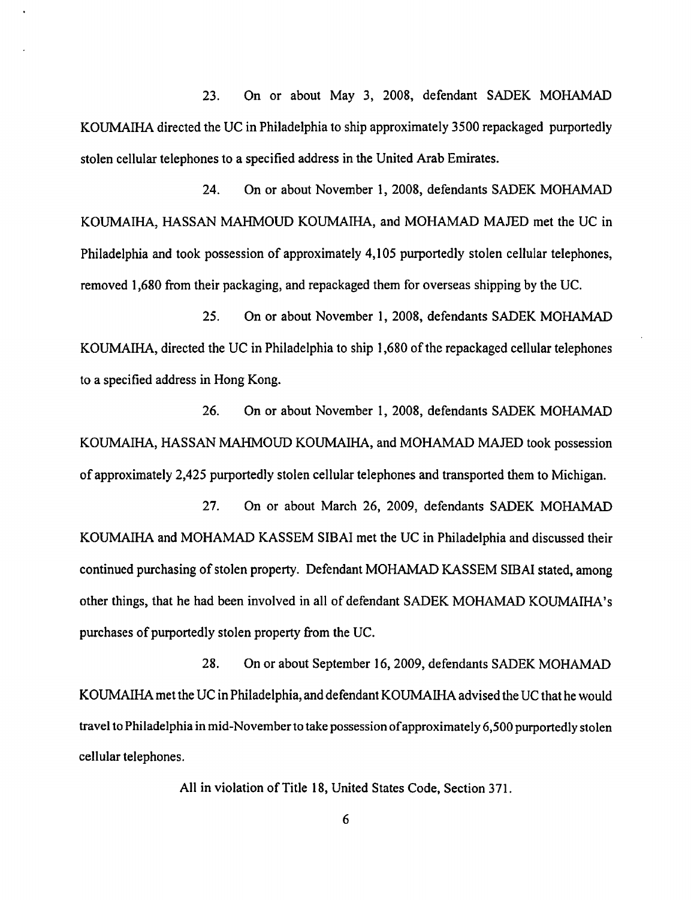23. On or about May 3, 2008, defendant SADEK MOHAMAD KOUMAIHA directed the UC in Philadelphia to ship approximately 3500 repackaged purportedly stolen cellular telephones to a specified address in the United Arab Emirates.

24. On or about November 1, 2008, defendants SADEK MOHAMAD KOUMAIHA, HASSAN MAHMOUD KOUMAIHA, and MOHAMAD MAJED met the UC in Philadelphia and took possession of approximately 4,105 purportedly stolen cellular telephones, removed 1,680 from their packaging, and repackaged them for overseas shipping by the UC.

25. On or about November 1,2008, defendants SADEK MOHAMAD KOUMAIHA, directed the UC in Philadelphia to ship 1,680 of the repackaged cellular telephones to a specified address in Hong Kong.

26. On or about November 1, 2008, defendants SADEK MOHAMAD KOUMAIHA, HASSAN MAHMOUD KOUMAIHA, and MOHAMAD MAJED took possession of approximately 2,425 purportedly stolen cellular telephones and transported them to Michigan.

27. On or about March 26, 2009, defendants SADEK MOHAMAD KOUMAIHA and MOHAMAD KASSEM SIBAI met the UC in Philadelphia and discussed their continued purchasing of stolen property. Defendant MOHAMAD KASSEM SIBAI stated, among other things, that he had been involved in all of defendant SADEK MOHAMAD KOUMAIHA's purchases of purportedly stolen property from the UC.

28. On or about September 16, 2009, defendants SADEK MOHAMAD KOUMAIHA met the UC in Philadelphia, and defendant KOUMAIHA advised the UC that he would travel to Philadelphia in mid-November to take possession of approximately 6,500 purportedly stolen cellular telephones.

All in violation of Title 18, United States Code, Section 371.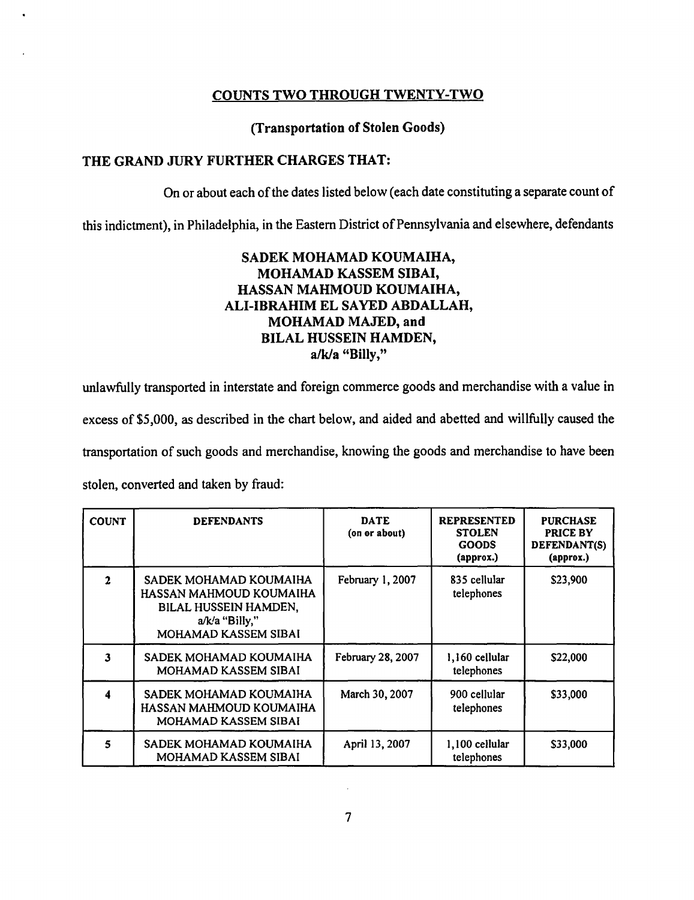# COUNTS TWO THROUGH TWENTY-TWO

# (Transportation of Stolen Goods)

# THE GRAND JURy FURTHER CHARGES THAT:

On or about each of the dates listed below (each date constituting a separate count of

this indictment), in Philadelphia, in the Eastern District of Pennsylvania and elsewhere, defendants

# SADEK MOHAMAD KOUMAIHA, MOHAMAD KASSEM SIBAI, HASSAN MAHMOUD KOUMAIHA, ALI-IBRAHIM EL SAYED ABDALLAH, MOHAMAD MAJED, and BILAL HUSSEIN HAMDEN, a/k/a "Billy,"

unlawfully transported in interstate and foreign commerce goods and merchandise with a value in excess of \$5,000, as described in the chart below, and aided and abetted and willfully caused the transportation of such goods and merchandise, knowing the goods and merchandise to have been stolen, converted and taken by fraud:

| <b>COUNT</b> | <b>DEFENDANTS</b>                                                                                                      | <b>DATE</b><br>(on or about) | <b>REPRESENTED</b><br><b>STOLEN</b><br><b>GOODS</b><br>${\bf (approx.)}$ | <b>PURCHASE</b><br>PRICE BY<br>DEFENDANT(S)<br>(approx.) |
|--------------|------------------------------------------------------------------------------------------------------------------------|------------------------------|--------------------------------------------------------------------------|----------------------------------------------------------|
| $\mathbf{2}$ | SADEK MOHAMAD KOUMAIHA<br>HASSAN MAHMOUD KOUMAIHA<br>BILAL HUSSEIN HAMDEN,<br>$a/k/a$ "Billy,"<br>MOHAMAD KASSEM SIBAI | February 1, 2007             | 835 cellular<br>telephones                                               | \$23,900                                                 |
| 3            | SADEK MOHAMAD KOUMAIHA<br>MOHAMAD KASSEM SIBAI                                                                         | February 28, 2007            | 1,160 cellular<br>telephones                                             | \$22,000                                                 |
| 4            | SADEK MOHAMAD KOUMAIHA<br>HASSAN MAHMOUD KOUMAIHA<br>MOHAMAD KASSEM SIBAI                                              | March 30, 2007               | 900 cellular<br>telephones                                               | \$33,000                                                 |
| 5            | SADEK MOHAMAD KOUMAIHA<br>MOHAMAD KASSEM SIBAI                                                                         | April 13, 2007               | 1,100 cellular<br>telephones                                             | \$33,000                                                 |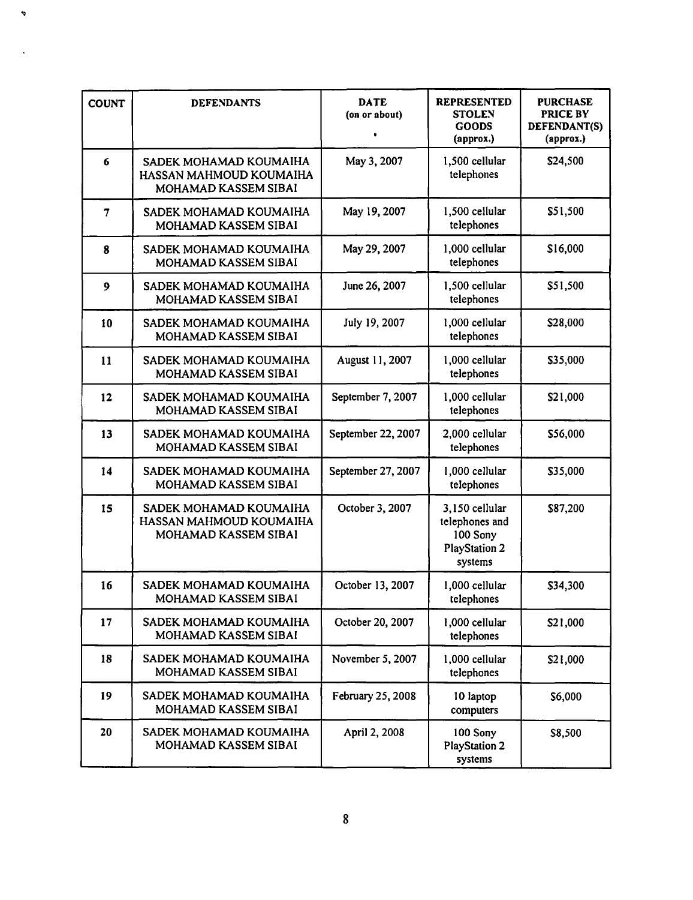| <b>COUNT</b>   | <b>DEFENDANTS</b>                                                         | <b>DATE</b><br>(on or about)<br>٠ | <b>REPRESENTED</b><br><b>STOLEN</b><br><b>GOODS</b><br>(approx.)                | <b>PURCHASE</b><br>PRICE BY<br>DEFENDANT(S)<br>(approx.) |
|----------------|---------------------------------------------------------------------------|-----------------------------------|---------------------------------------------------------------------------------|----------------------------------------------------------|
| 6              | SADEK MOHAMAD KOUMAIHA<br>HASSAN MAHMOUD KOUMAIHA<br>MOHAMAD KASSEM SIBAI | May 3, 2007                       | 1,500 cellular<br>telephones                                                    | \$24,500                                                 |
| $\overline{7}$ | SADEK MOHAMAD KOUMAIHA<br>MOHAMAD KASSEM SIBAI                            | May 19, 2007                      | 1,500 cellular<br>telephones                                                    | \$51,500                                                 |
| 8              | SADEK MOHAMAD KOUMAIHA<br>MOHAMAD KASSEM SIBAI                            | May 29, 2007                      | 1,000 cellular<br>telephones                                                    | \$16,000                                                 |
| 9              | SADEK MOHAMAD KOUMAIHA<br>MOHAMAD KASSEM SIBAI                            | June 26, 2007                     | 1,500 cellular<br>telephones                                                    | \$51,500                                                 |
| 10             | SADEK MOHAMAD KOUMAIHA<br>MOHAMAD KASSEM SIBAI                            | July 19, 2007                     | 1,000 cellular<br>telephones                                                    | \$28,000                                                 |
| 11             | SADEK MOHAMAD KOUMAIHA<br>MOHAMAD KASSEM SIBAI                            | August 11, 2007                   | 1,000 cellular<br>telephones                                                    | \$35,000                                                 |
| 12             | SADEK MOHAMAD KOUMAIHA<br>MOHAMAD KASSEM SIBAI                            | September 7, 2007                 | 1,000 cellular<br>telephones                                                    | \$21,000                                                 |
| 13             | SADEK MOHAMAD KOUMAIHA<br>MOHAMAD KASSEM SIBAI                            | September 22, 2007                | 2,000 cellular<br>telephones                                                    | \$56,000                                                 |
| 14             | SADEK MOHAMAD KOUMAIHA<br>MOHAMAD KASSEM SIBAI                            | September 27, 2007                | 1,000 cellular<br>telephones                                                    | \$35,000                                                 |
| 15             | SADEK MOHAMAD KOUMAIHA<br>HASSAN MAHMOUD KOUMAIHA<br>MOHAMAD KASSEM SIBAI | October 3, 2007                   | 3,150 cellular<br>telephones and<br>100 Sony<br><b>PlayStation 2</b><br>systems | \$87,200                                                 |
| 16             | SADEK MOHAMAD KOUMAIHA<br>MOHAMAD KASSEM SIBAI                            | October 13, 2007                  | 1,000 cellular<br>telephones                                                    | \$34,300                                                 |
| 17             | SADEK MOHAMAD KOUMAIHA<br>MOHAMAD KASSEM SIBAI                            | October 20, 2007                  | 1,000 cellular<br>telephones                                                    | \$21,000                                                 |
| 18             | SADEK MOHAMAD KOUMAIHA<br>MOHAMAD KASSEM SIBAI                            | November 5, 2007                  | 1,000 cellular<br>telephones                                                    | \$21,000                                                 |
| 19             | SADEK MOHAMAD KOUMAIHA<br>MOHAMAD KASSEM SIBAI                            | February 25, 2008                 | 10 laptop<br>computers                                                          | \$6,000                                                  |
| 20             | SADEK MOHAMAD KOUMAIHA<br>MOHAMAD KASSEM SIBAI                            | April 2, 2008                     | 100 Sony<br><b>PlayStation 2</b><br>systems                                     | \$8,500                                                  |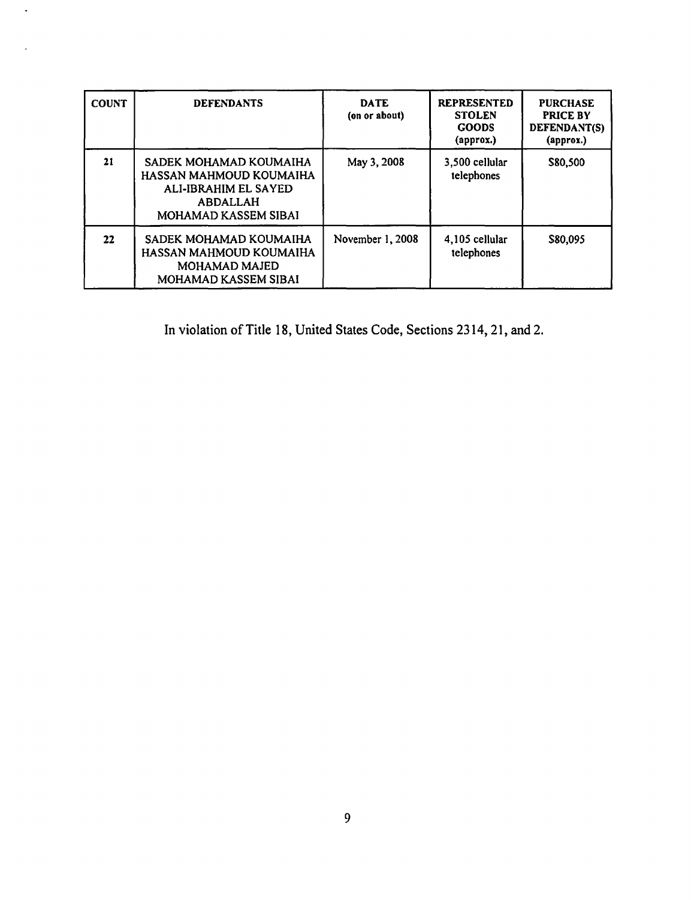| <b>COUNT</b>      | <b>DEFENDANTS</b>                                                                                                    | <b>DATE</b><br>(on or about) | <b>REPRESENTED</b><br><b>STOLEN</b><br><b>GOODS</b><br>(approx.) | <b>PURCHASE</b><br><b>PRICE BY</b><br>DEFENDANT(S)<br>(approx.) |
|-------------------|----------------------------------------------------------------------------------------------------------------------|------------------------------|------------------------------------------------------------------|-----------------------------------------------------------------|
| 21                | SADEK MOHAMAD KOUMAIHA<br>HASSAN MAHMOUD KOUMAIHA<br>ALI-IBRAHIM EL SAYED<br><b>ABDALLAH</b><br>MOHAMAD KASSEM SIBAI | May 3, 2008                  | 3,500 cellular<br>telephones                                     | \$80,500                                                        |
| $22 \overline{ }$ | SADEK MOHAMAD KOUMAIHA<br>HASSAN MAHMOUD KOUMAIHA<br><b>MOHAMAD MAJED</b><br>MOHAMAD KASSEM SIBAI                    | November 1, 2008             | 4,105 cellular<br>telephones                                     | \$80,095                                                        |

 $\mathcal{L}$ 

 $\ddot{\phantom{a}}$ 

In violation of Title 18, United States Code, Sections 2314, 21, and 2.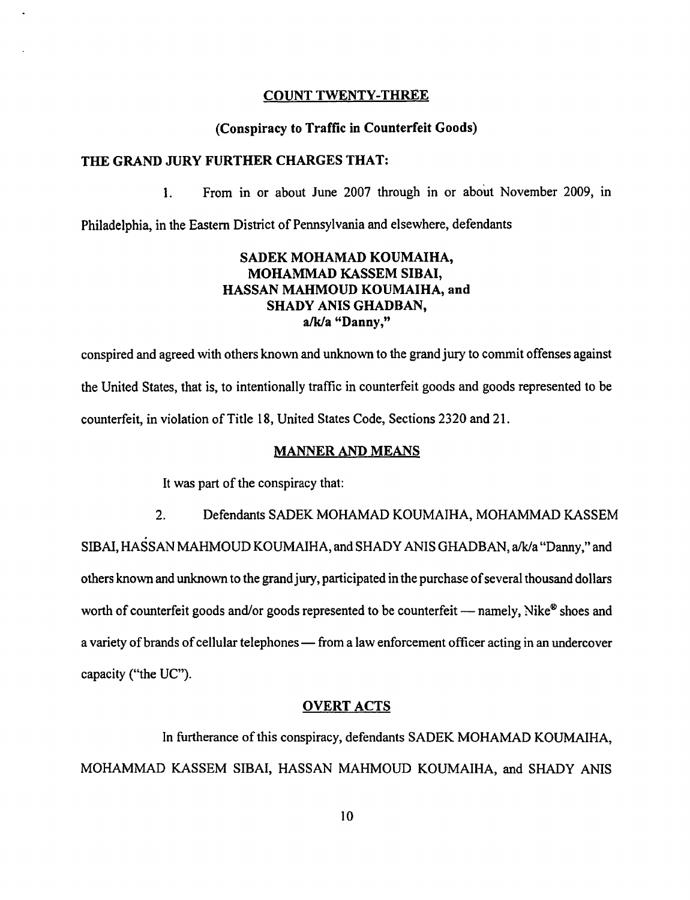#### COUNT TWENTY-THREE

#### (Conspiracy to Traffic in Counterfeit Goods)

#### THE GRAND JURY FURTHER CHARGES THAT:

1. From in or about June 2007 through in or about November 2009, in

Philadelphia, in the Eastern District of Pennsylvania and elsewhere, defendants

# SADEK MOHAMAD KOUMAIHA, MOHAMMAD KASSEM SIBAI, HASSAN MAHMOUD KOUMAIHA, and SHADY ANIS GHADBAN, a/k/a "Danny,"

conspired and agreed with others known and unknown to the grand jury to commit offenses against the United States, that is, to intentionally traffic in counterfeit goods and goods represented to be counterfeit, in violation of Title 18, United States Code, Sections 2320 and 21.

## MANNER AND MEANS

It was part of the conspiracy that:

2. Defendants SADEK MOHAMAD KOUMAIHA, MOHAMMAD KASSEM SIBAI, HASSAN MAHMOUD KOUMAIHA, and SHADY ANIS GHADBAN, a/k/a "Danny," and others known and unknown to the grand jury, participated in the purchase of several thousand dollars worth of counterfeit goods and/or goods represented to be counterfeit — namely, Nike<sup>®</sup> shoes and a variety of brands of cellular telephones — from a law enforcement officer acting in an undercover capacity ("the UC").

# OVERT ACTS

In furtherance of this conspiracy, defendants SADEK MOHAMAD KOUMAIHA, MOHAMMAD KASSEM SIBAI, HASSAN MAHMOUD KOUMAIHA, and SHADY ANIS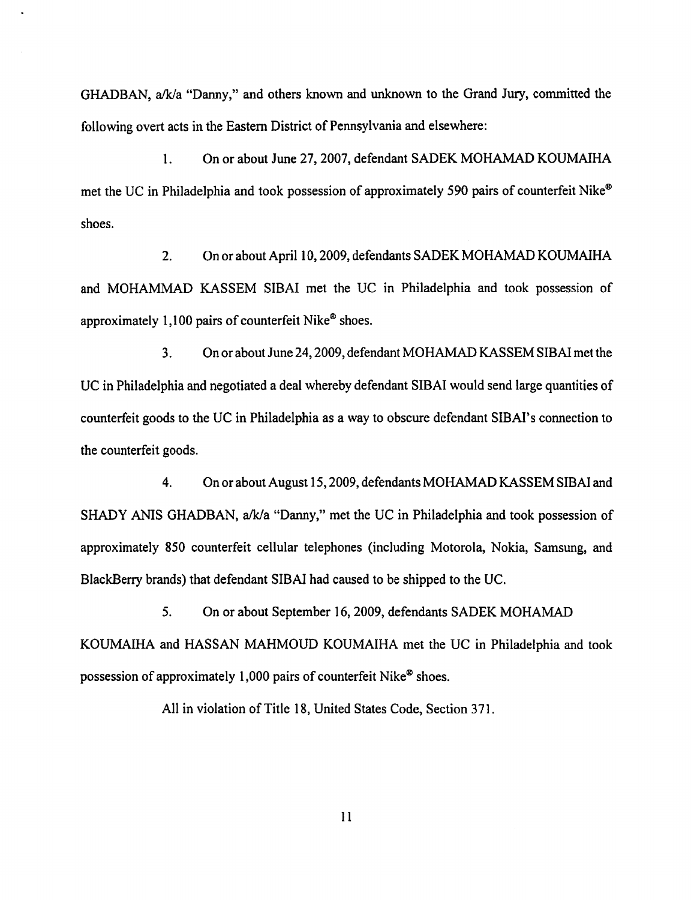GHADBAN, alk/a "Danny," and others known and unknown to the Grand Jury, committed the following overt acts in the Eastern District of Pennsylvania and elsewhere:

1. On or about June 27, 2007, defendant SADEK MOHAMAD KOUMAIHA met the UC in Philadelphia and took possession of approximately 590 pairs of counterfeit Nike® shoes.

2. On or about April 10, 2009, defendants SADEK MOHAMAD KOUMAIHA and MOHAMMAD KASSEM SIBAI met the UC in Philadelphia and took possession of approximately 1,100 pairs of counterfeit Nike® shoes.

3. On or about June 24, 2009, defendant MOHAMAD KASSEM SIBAl met the UC in Philadelphia and negotiated a deal whereby defendant SIBAI would send large quantities of counterfeit goods to the UC in Philadelphia as a way to obscure defendant SIBAI's connection to the counterfeit goods.

4. On or about August 15,2009, defendants MOHAMAD KASSEM SIBAl and SHADY ANIS GHADBAN, a/k/a "Danny," met the UC in Philadelphia and took possession of approximately 850 counterfeit cellular telephones (including Motorola, Nokia, Samsung, and BlackBerry brands) that defendant SIBAI had caused to be shipped to the UC.

5. On or about September 16, 2009, defendants SADEK MOHAMAD KOUMAlHA and HASSAN MAHMOUD KOUMAIHA met the UC in Philadelphia and took possession of approximately 1,000 pairs of counterfeit Nike® shoes.

All in violation of Title 18, United States Code, Section 371.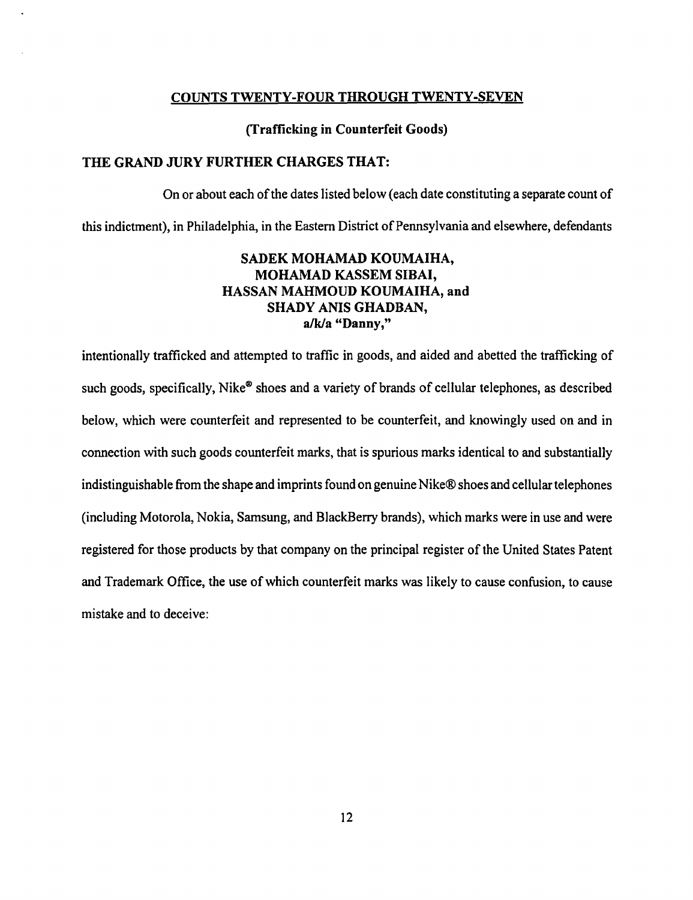## COUNTS TWENTY-FOUR THROUGH TWENTY-SEVEN

## (Trafficking in Counterfeit Goods)

# THE GRAND JURY FURTHER CHARGES THAT:

On or about each of the dates listed below (each date constituting a separate count of this indictment), in Philadelphia, in the Eastern District of Pennsylvania and elsewhere, defendants

# SADEK MOHAMAD KOUMAIHA, MOHAMAD KASSEM SIBAI, HASSAN MAHMOUD KOUMAIHA, and SHADY ANIS GHADBAN, a/k/a "Danny,"

intentionally trafficked and attempted to traffic in goods, and aided and abetted the trafficking of such goods, specifically, Nike<sup>®</sup> shoes and a variety of brands of cellular telephones, as described below, which were counterfeit and represented to be counterfeit, and knowingly used on and in connection with such goods counterfeit marks, that is spurious marks identical to and substantially indistinguishable from the shape and imprints found on genuine Nike® shoes and cellular telephones (including Motorola, Nokia, Samsung, and BlackBerry brands), which marks were in use and were registered for those products by that company on the principal register of the United States Patent and Trademark Office, the use of which counterfeit marks was likely to cause confusion, to cause mistake and to deceive: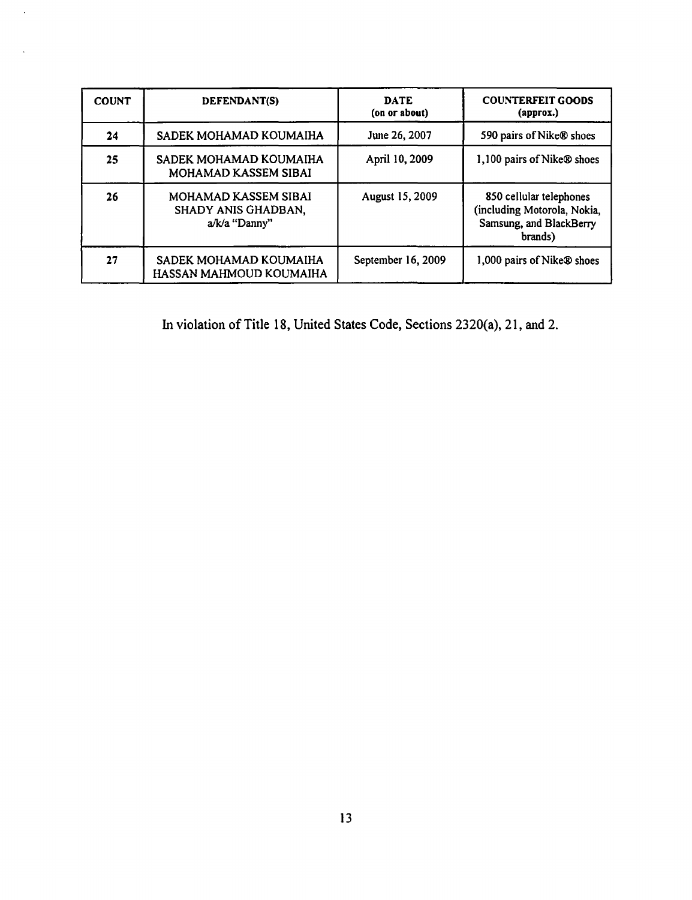| <b>COUNT</b> | DEFENDANT(S)                                                 | <b>DATE</b><br>(on or about) | <b>COUNTERFEIT GOODS</b><br>(approx.)                                                        |
|--------------|--------------------------------------------------------------|------------------------------|----------------------------------------------------------------------------------------------|
| 24           | SADEK MOHAMAD KOUMAIHA                                       | June 26, 2007                | 590 pairs of Nike® shoes                                                                     |
| 25           | SADEK MOHAMAD KOUMAIHA<br><b>MOHAMAD KASSEM SIBAI</b>        | April 10, 2009               | 1,100 pairs of Nike® shoes                                                                   |
| 26           | MOHAMAD KASSEM SIBAI<br>SHADY ANIS GHADBAN,<br>a/k/a "Danny" | August 15, 2009              | 850 cellular telephones<br>(including Motorola, Nokia,<br>Samsung, and BlackBerry<br>brands) |
| 27           | SADEK MOHAMAD KOUMAIHA<br>HASSAN MAHMOUD KOUMAIHA            | September 16, 2009           | 1,000 pairs of Nike® shoes                                                                   |

 $\hat{\mathcal{L}}$ 

In violation of Title 18, United States Code, Sections 2320(a), 21, and 2.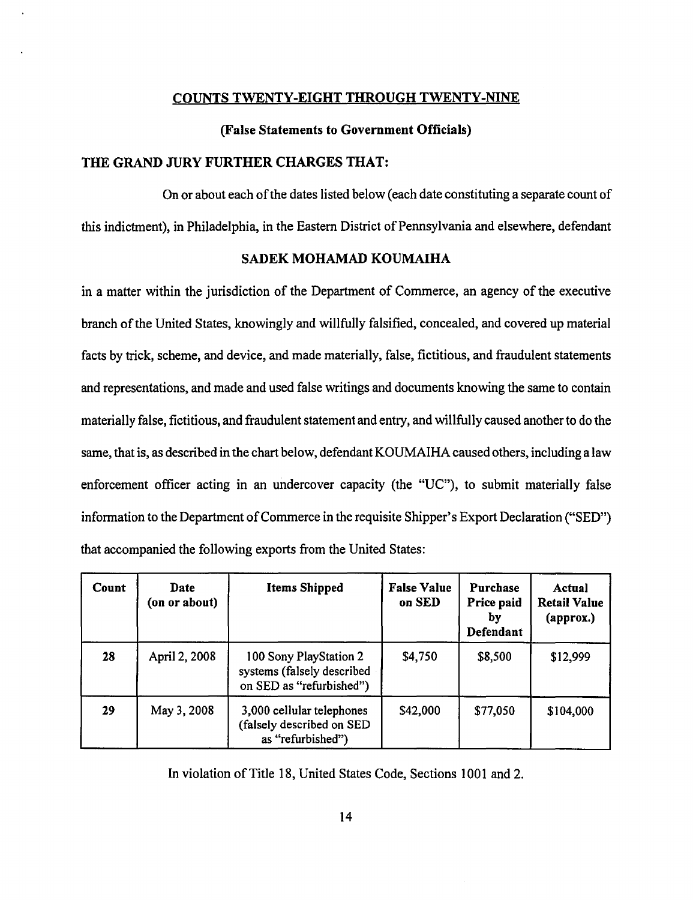## COUNTS TWENTY-EIGHT THROUGH TWENTY-NINE

#### (False Statements to Government Officials)

## THE GRAND JURY FURTHER CHARGES THAT:

On or about each of the dates listed below (each date constituting a separate count of this indictment), in Philadelphia, in the Eastern District of Pennsylvania and elsewhere, defendant

## SADEK MOHAMAD KOUMAIHA

in a matter within the jurisdiction of the Department of Commerce, an agency of the executive branch of the United States, knowingly and willfully falsified, concealed, and covered up material facts by trick, scheme, and device, and made materially, false, fictitious, and fraudulent statements and representations, and made and used false writings and documents knowing the same to contain materially false, fictitious, and fraudulent statement and entry, and willfully caused another to do the same, that is, as described in the chart below, defendant KOUMAIHA caused others, including a law enforcement officer acting in an undercover capacity (the "UC"), to submit materially false information to the Department of Commerce in the requisite Shipper's Export Declaration ("SED") that accompanied the following exports from the United States:

| Count | Date<br>(on or about) | <b>Items Shipped</b>                                                             | <b>False Value</b><br>on SED | Purchase<br>Price paid<br>by<br>Defendant | Actual<br><b>Retail Value</b><br>(approx.) |
|-------|-----------------------|----------------------------------------------------------------------------------|------------------------------|-------------------------------------------|--------------------------------------------|
| 28    | April 2, 2008         | 100 Sony PlayStation 2<br>systems (falsely described<br>on SED as "refurbished") | \$4,750                      | \$8,500                                   | \$12,999                                   |
| 29    | May 3, 2008           | 3,000 cellular telephones<br>(falsely described on SED<br>as "refurbished")      | \$42,000                     | \$77,050                                  | \$104,000                                  |

In violation of Title 18, United States Code, Sections 1001 and 2.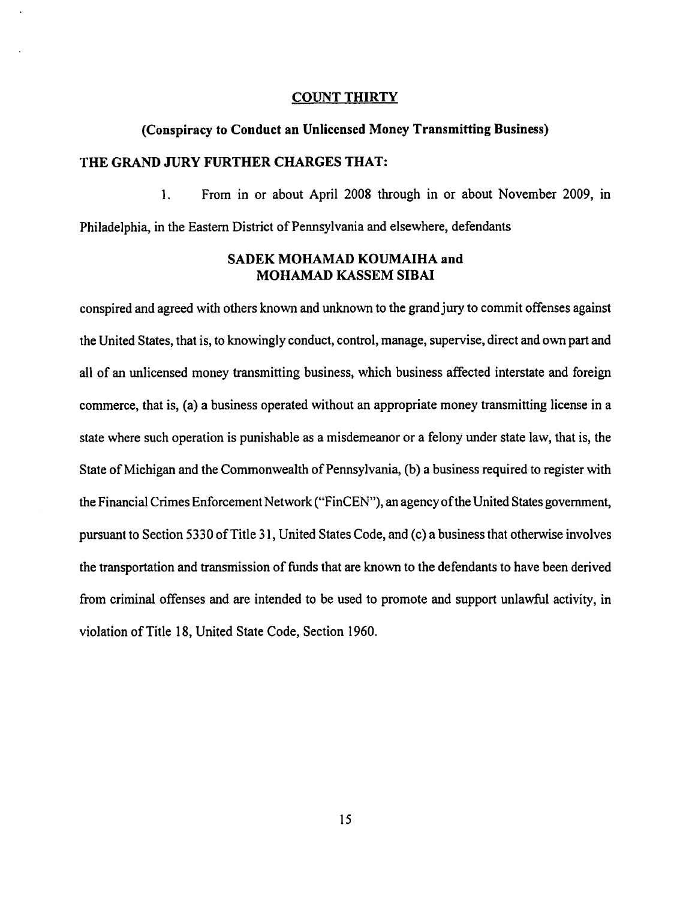## COUNT THIRTY

# (Conspiracy to Conduct an Unlicensed Money Transmitting Business) THE GRAND JURY FURTHER CHARGES THAT:

1. From in or about April 2008 through in or about November 2009, in Philadelphia, in the Eastern District of Pennsylvania and elsewhere, defendants

# SADEK MOHAMAD KOUMAIHA and MOHAMAD KASSEM SIBAI

conspired and agreed with others known and unknown to the grand jury to commit offenses against the United States, that is, to knowingly conduct, control, manage, supervise, direct and own part and all of an unlicensed money transmitting business, which business affected interstate and foreign commerce, that is, (a) a business operated without an appropriate money transmitting license in a state where such operation is punishable as a misdemeanor or a felony under state law, that is, the State of Michigan and the Commonwealth of Pennsylvania, (b) a business required to register with the Financial Crimes Enforcement Network ("FinCEN"), an agency of the United States government, pursuant to Section 5330 of Title 31, United States Code, and (c) a business that otherwise involves the transportation and transmission of funds that are known to the defendants to have been derived from criminal offenses and are intended to be used to promote and support unlawful activity, in violation of Title 18, United State Code, Section 1960.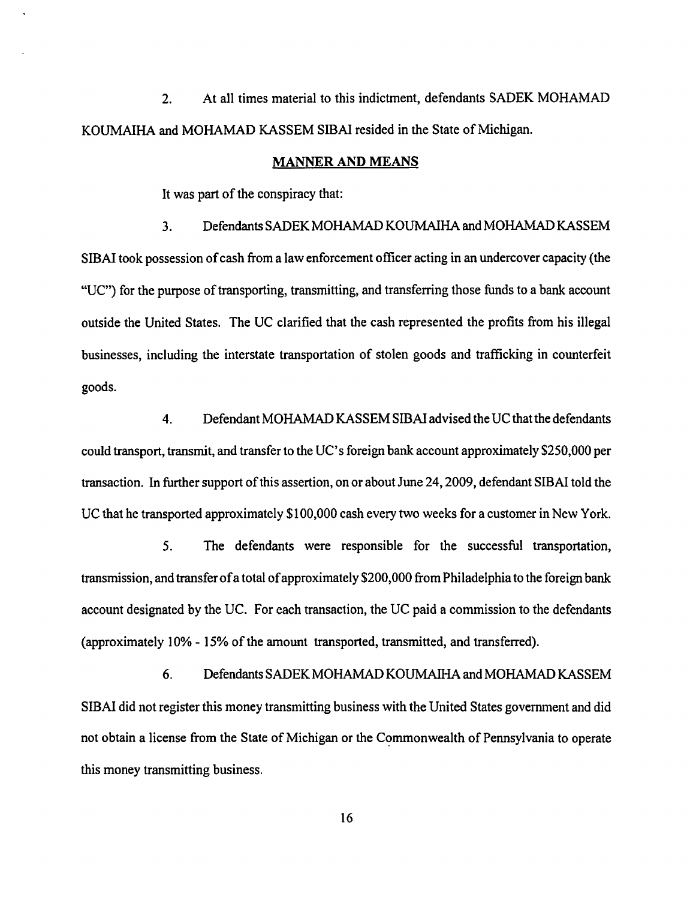2. At all times material to this indictment, defendants SADEK MOHAMAD KOUMAIHA and MOHAMAD KASSEM SIBAI resided in the State of Michigan.

#### MANNER AND MEANS

It was part of the conspiracy that:

3. Defendants SADEK MOHAMAD KOUMAlHA and MOHAMAD KASSEM SIBAI took possession of cash from a law enforcement officer acting in an undercover capacity (the "UC") for the purpose of transporting, transmitting, and transferring those funds to a bank account outside the United States. The UC clarified that the cash represented the profits from his illegal businesses, including the interstate transportation of stolen goods and trafficking in counterfeit goods.

4. Defendant MOHAMAD KASSEM SIBAI advised the UC that the defendants could transport, transmit, and transfer to the UC's foreign bank account approximately \$250,000 per transaction. In further support of this assertion, on or about June 24, 2009, defendant SIBAI told the UC that he transported approximately \$100,000 cash every two weeks for a customer in New York.

S. The defendants were responsible for the successful transportation, transmission, and transfer of a total of approximately \$200,000 from Philadelphia to the foreign bank account designated by the UC. For each transaction, the UC paid a commission to the defendants (approximately 10% - 15% of the amount transported, transmitted, and transferred).

6. Defendants SADEKMOHAMAD KOUMAIHA and MOHAMAD KASSEM SIBAI did not register this money transmitting business with the United States government and did not obtain a license from the State of Michigan or the Commonwealth of Pennsylvania to operate this money transmitting business.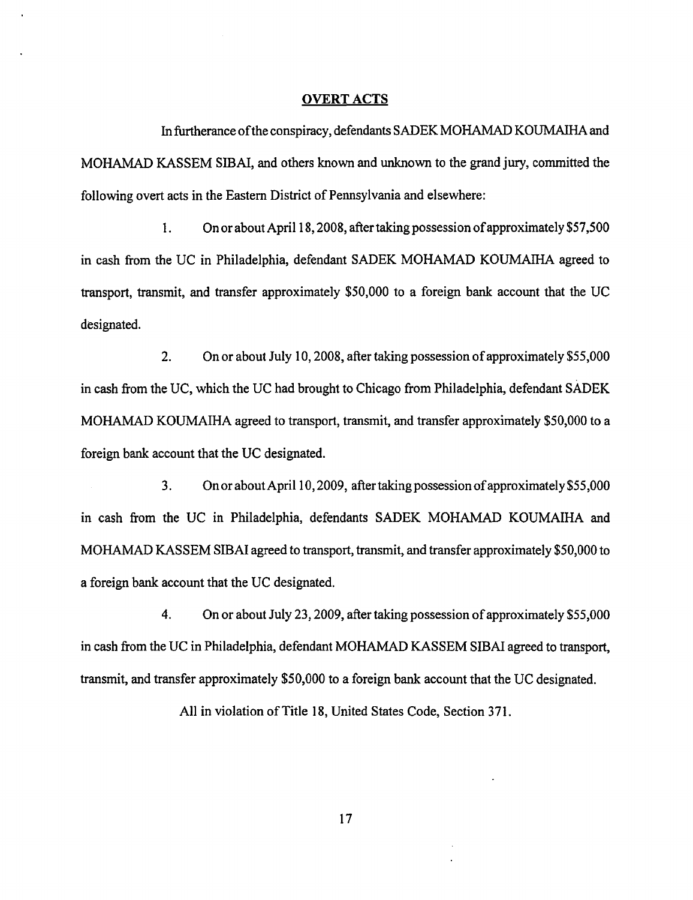#### OVERT ACTS

In furtherance ofthe conspiracy, defendants SADEK MOHAMAD KOUMAIHA and MOHAMAD KASSEM SIBAI, and others known and unknown to the grand jury, committed the following overt acts in the Eastern District of Pennsylvania and elsewhere:

1. On or about April 18, 2008, after taking possession of approximately \$S7,SOO in cash from the UC in Philadelphia, defendant SADEK MOHAMAD KOUMAIHA agreed to transport, transmit, and transfer approximately \$SO,OOO to a foreign bank. account that the UC designated.

2. On or about July 10,2008, after taking possession of approximately \$S5,000 in cash from the UC, which the UC had brought to Chicago from Philadelphia, defendant SADEK MOHAMAD KOUMAIHA agreed to transport, transmit, and transfer approximately \$50,000 to a foreign bank account that the UC designated.

3. On or about April 10, 2009, after taking possession of approximately \$55,000 in cash from the UC in Philadelphia, defendants SADEK MOHAMAD KOUMAIHA and MOHAMAD KASSEM SIBAI agreed to transport, transmit, and transfer approximately \$50,000 to a foreign bank account that the UC designated.

4. On or about July 23, 2009, after taking possession of approximately \$55,000 in cash from the UC in Philadelphia, defendant MOHAMAD KASSEM SIBAI agreed to transport, transmit, and transfer approximately \$50,000 to a foreign bank account that the UC designated.

All in violation of Title 18, United States Code, Section 371.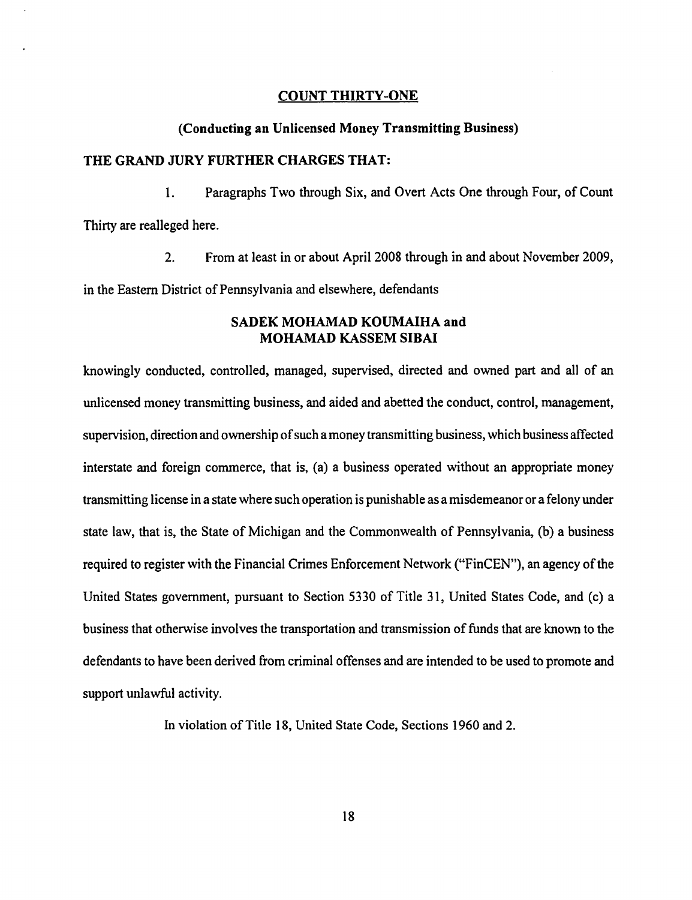#### COUNT THIRTY-ONE

#### (Conducting an Unlicensed Money Transmitting Business)

## THE GRAND JURY FURTHER CHARGES THAT:

1. Paragraphs Two through Six, and Overt Acts One through Four, of Count Thirty are realleged here.

2. From at least in or about April 2008 through in and about November 2009, in the Eastern District of Pennsylvania and elsewhere, defendants

# SADEK MOHAMAD KOUMAIHA and MOHAMAD KASSEM SIBAI

knowingly conducted, controlled, managed, supervised, directed and owned part and all of an unlicensed money transmitting business, and aided and abetted the conduct, control, management, supervision, direction and ownership of such a money transmitting business, which business affected interstate and foreign commerce, that is, (a) a business operated without an appropriate money transmitting license in a state where such operation is punishable as a misdemeanor or a felony under state law, that is, the State of Michigan and the Commonwealth of Pennsylvania, (b) a business required to register with the Financial Crimes Enforcement Network ("FinCEN"), an agency of the United States government, pursuant to Section 5330 of Title 31, United States Code, and (c) a business that otherwise involves the transportation and transmission of funds that are known to the defendants to have been derived from criminal offenses and are intended to be used to promote and support unlawful activity.

In violation of Title 18, United State Code, Sections 1960 and 2.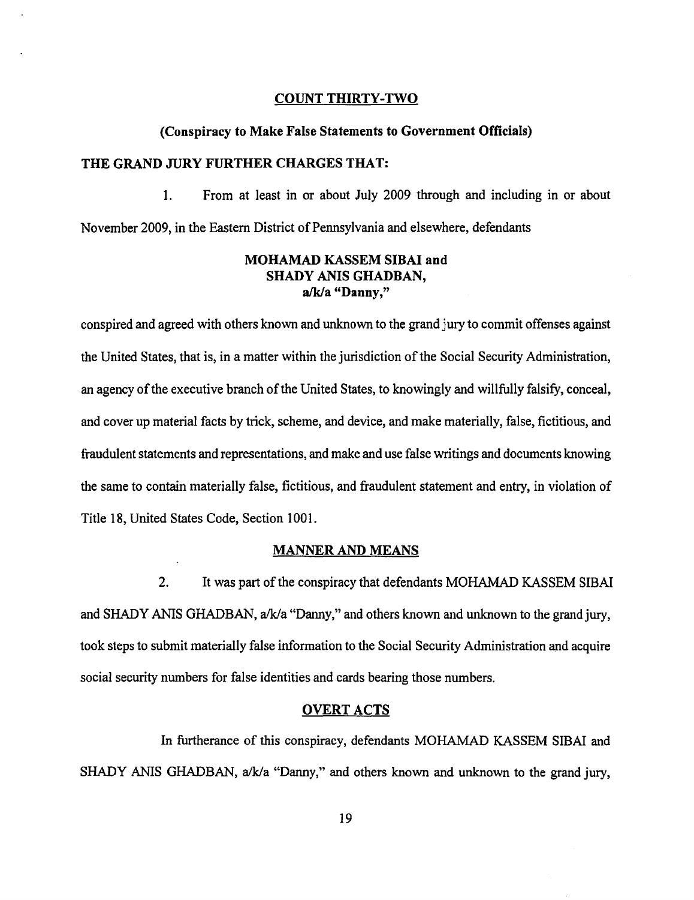#### COUNT THIRTY-TWO

#### (Conspiracy to Make False Statements to Government Officials)

#### THE GRAND JURY FURTHER CHARGES THAT:

1. From at least in or about July 2009 through and including in or about November 2009, in the Eastern District of Pennsylvania and elsewhere, defendants

# MOHAMAD KASSEM SIBAI and SHADY ANIS GHADBAN, a/k/a "Danny,"

conspired and agreed with others known and unknown to the grand jury to commit offenses against the United States, that is, in a matter within the jurisdiction of the Social Security Administration, an agency of the executive branch of the United States, to knowingly and willfully falsify, conceal, and cover up material facts by trick, scheme, and device, and make materially, false, fictitious, and fraudulent statements and representations, and make and use false writings and documents knowing the same to contain materially false, fictitious, and fraudulent statement and entry, in violation of Title 18, United States Code, Section 1001.

## MANNER AND MEANS

2. It was part of the conspiracy that defendants MOHAMAD KASSEM SIBAI and SHADY ANIS GHADBAN, a/k/a "Danny," and others known and unknown to the grand jury, took steps to submit materially false information to the Social Security Administration and acquire social security numbers for false identities and cards bearing those numbers.

#### OVERT ACTS

In furtherance of this conspiracy, defendants MOHAMAD KASSEM SIBAI and SHADY ANIS GHADBAN, a/k/a "Danny," and others known and unknown to the grand jury,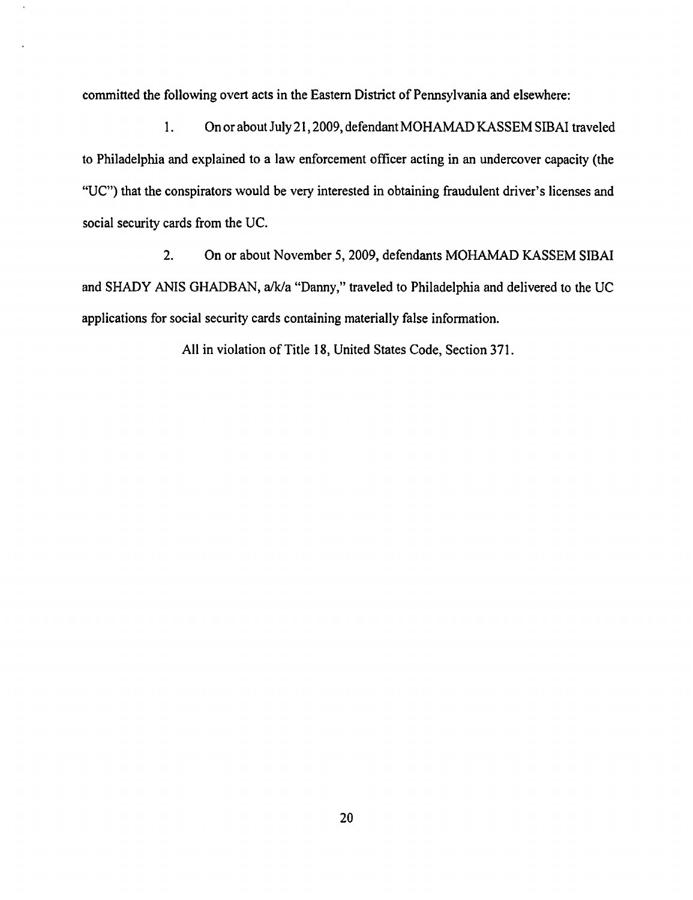committed the following overt acts in the Eastern District of Pennsylvania and elsewhere:

1. On or about July 21, 2009, defendant MOHAMAD KASSEM SIBAI traveled to Philadelphia and explained to a law enforcement officer acting in an undercover capacity (the "UC") that the conspirators would be very interested in obtaining fraudulent driver's licenses and social security cards from the UC.

2. On or about November 5, 2009, defendants MOHAMAD KASSEM SIBAI and SHADY ANIS GHADBAN, a/k/a "Danny," traveled to Philadelphia and delivered to the UC applications for social security cards containing materially false information.

All in violation of Title 18, United States Code, Section 371.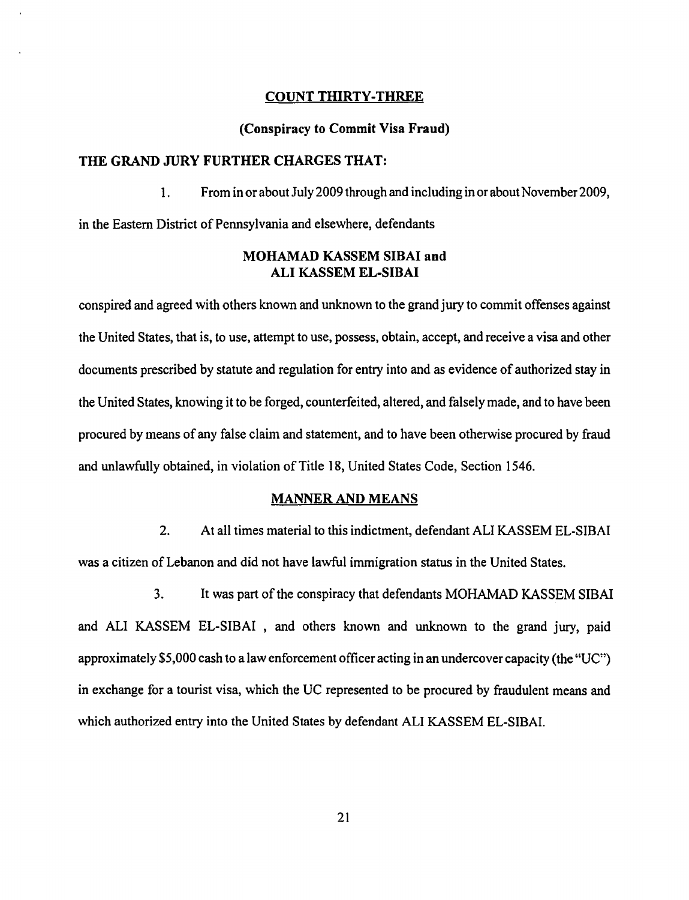# COUNT THIRTY -THREE

#### (Conspiracy to Commit Visa Fraud)

#### THE GRAND JURY FURTHER CHARGES THAT:

1. From in or about July 2009 through and including in or about November 2009,

in the Eastern District of Pennsylvania and elsewhere, defendants

# MOHAMAD KASSEM SIBAI and ALI KASSEM EL-SIBAI

conspired and agreed with others known and unknown to the grand jury to commit offenses against the United States, that is, to use, attempt to use, possess, obtain, accept, and receive a visa and other documents prescribed by statute and regulation for entry into and as evidence of authorized stay in the United States, knowing it to be forged, counterfeited, altered, and falsely made, and to have been procured by means of any false claim and statement, and to have been otherwise procured by fraud and unlawfully obtained, in violation of Title 18, United States Code, Section 1546.

#### MANNER AND MEANS

2. At all times material to this indictment, defendant ALI KASSEM EL-SIBAI was a citizen of Lebanon and did not have lawful immigration status in the United States.

3. It was part of the conspiracy that defendants MOHAMAD KASSEM SIBAI and ALI KASSEM EL-SIBAI , and others known and unknown to the grand jury, paid approximately \$5,000 cash to a law enforcement officer acting in an undercover capacity (the "UC") in exchange for a tourist visa, which the UC represented to be procured by fraudulent means and which authorized entry into the United States by defendant ALI KASSEM EL-SIBAI.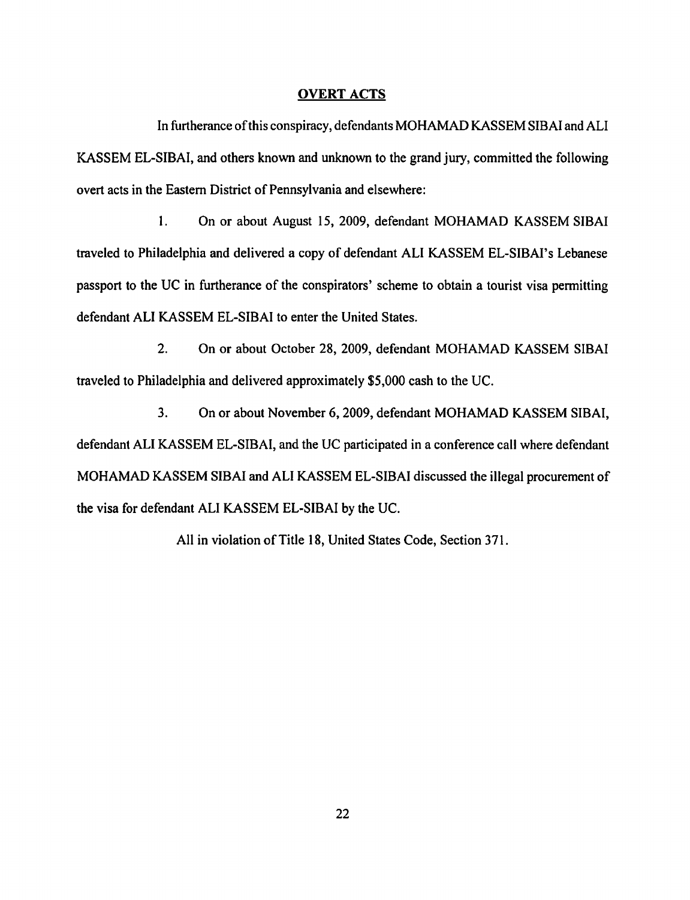#### OVERT ACTS

In furtherance ofthis conspiracy, defendants MOHAMAD KASSEM SIBAI and ALI KASSEM EL-SIBAI, and others known and unknown to the grand jury, committed the following overt acts in the Eastern District of Pennsylvania and elsewhere:

1. On or about August 15, 2009, defendant MOHAMAD KASSEM SIBAI traveled to Philadelphia and delivered a copy of defendant ALI KASSEM EL-SIBAI's Lebanese passport to the UC in furtherance of the conspirators' scheme to obtain a tourist visa permitting defendant ALI KASSEM EL-SIBAI to enter the United States.

2. On or about October 28, 2009, defendant MOHAMAD KASSEM SIBAI traveled to Philadelphia and delivered approximately \$5,000 cash to the UC.

3. On or about November 6, 2009, defendant MOHAMAD KASSEM SIBAI, defendant ALI KASSEM EL-SIBAI, and the UC participated in a conference call where defendant MOHAMAD KASSEM SIBAI and ALI KASSEM EL-SIBAI discussed the illegal procurement of the visa for defendant ALI KASSEM EL-SIBAI by the UC.

All in violation of Title 18, United States Code, Section 371.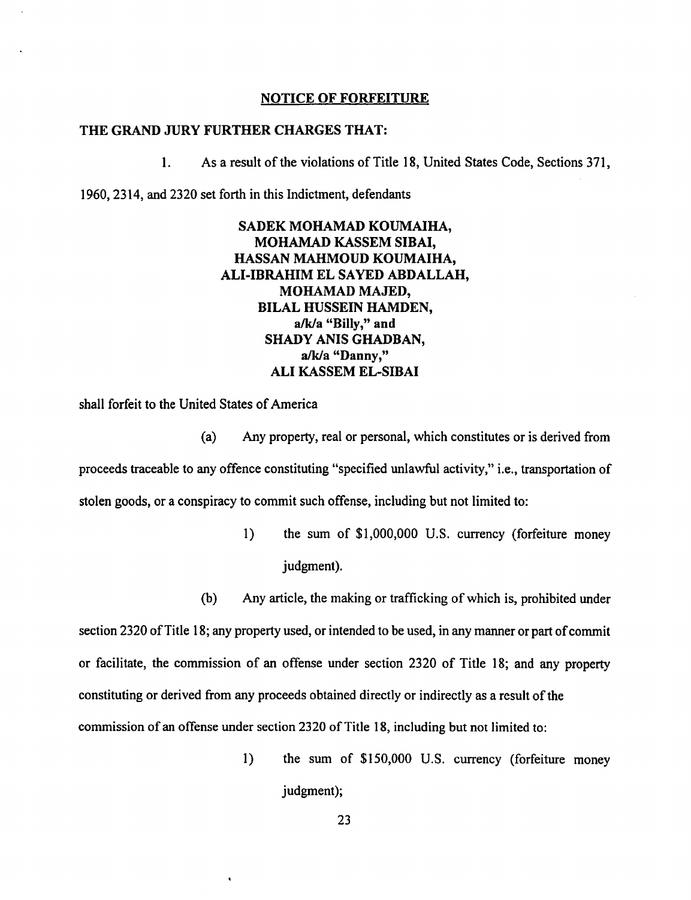#### NOTICE OF FORFEITURE

#### THE GRAND JURY FURTHER CHARGES THAT:

1. As a result of the violations of Title 18, United States Code, Sections 371,

1960,2314, and 2320 set forth in this Indictment, defendants

# SADEK MOHAMAD KOUMAIHA, MOHAMAD KASSEM SIBAI, HASSAN MAHMOUD KOUMAIHA, ALI-IBRAHIM EL SAYED ABDALLAH, MOHAMAD MAJED, BILAL HUSSEIN HAMDEN,  $a/k/a$  "Billy," and SHADY ANIS GHADBAN, a/k/a "Danny," ALI KASSEM EL-SIBAI

shall forfeit to the United States of America

- (a) Any property, real or personal, which constitutes or is derived from proceeds traceable to any offence constituting "specified unlawful activity," Le., transportation of stolen goods, or a conspiracy to commit such offense, including but not limited to:
	- 1) the sum of \$1,000,000 U.S. currency (forfeiture money judgment).
	- (b) Any article, the making or trafficking of which is, prohibited under

section 2320 of Title 18; any property used, or intended to be used, in any manner or part of commit or facilitate, the commission of an offense under section 2320 of Title 18; and any property constituting or derived from any proceeds obtained directly or indirectly as a result of the commission of an offense under section 2320 of Title 18, including but not limited to:

> 1) the sum of \$150,000 U.S. currency (forfeiture money judgment);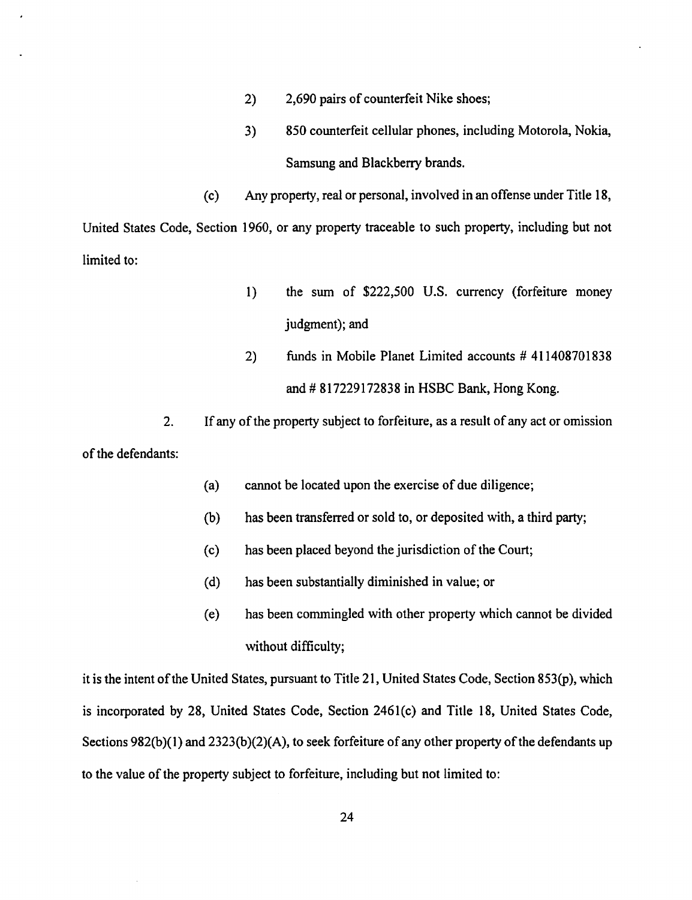- 2) 2,690 pairs of counterfeit Nike shoes;
- 3) 850 counterfeit cellular phones, including Motorola, Nokia, Samsung and Blackberry brands.

(c) Any property, real or personal, involved in an offense under Title 18, United States Code, Section 1960, or any property traceable to such property, including but not limited to:

- 1) the sum of \$222,500 U.S. currency (forfeiture money judgment); and
- 2) funds in Mobile Planet Limited accounts # 411408701838 and # 817229172838 in HSBC Bank, Hong Kong.

2. If any of the property subject to forfeiture, as a result of any act or omission of the defendants:

- (a) cannot be located upon the exercise of due diligence;
- (b) has been transferred or sold to, or deposited with, a third party;
- (c) has been placed beyond the jurisdiction of the Court;
- (d) has been substantially diminished in value; or
- (e) has been commingled with other property which cannot be divided without difficulty;

it is the intent of the United States, pursuant to Title 21, United States Code, Section 853(P), which is incorporated by 28, United States Code, Section 2461(c) and Title 18, United States Code, Sections 982(b)(1) and 2323(b)(2)(A), to seek forfeiture of any other property of the defendants up to the value of the property subject to forfeiture, including but not limited to: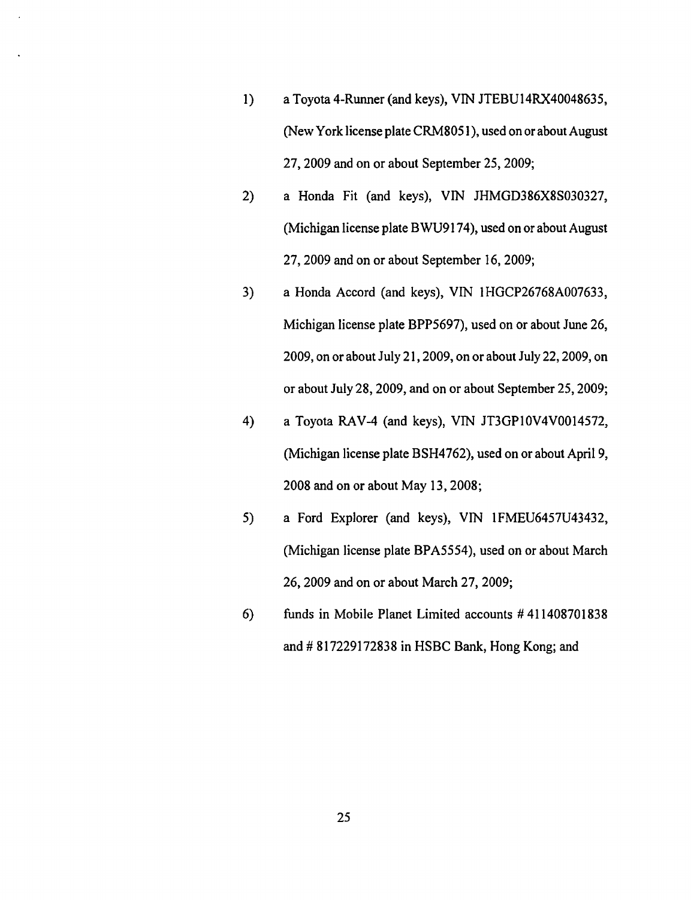- 1) a Toyota 4-Runner (and keys), VIN JTEBU14RX40048635, (New York license plate CRM8051), used on or about August 27,2009 and on or about September 25,2009;
- 2) a Honda Fit (and keys), VIN JHMGD386X8S030327, (Michigan license plate BWU9174), used on or about August 27,2009 and on or about September 16,2009;
- 3) a Honda Accord (and keys), VIN 1HGCP26768A007633, Michigan license plate BPP5697), used on or about June 26, 2009, on or about July 21,2009, on or about July 22,2009, on or about July 28, 2009, and on or about September 25, 2009;
- 4) a Toyota RAV-4 (and keys), VIN JT3GPI0V4VOOI4572, (Michigan license plate BSH4762), used on or about April 9, 2008 and on or about May 13,2008;
- 5) a Ford Explorer (and keys), VIN IFMEU6457U43432, (Michigan license plate BPA5554), used on or about March 26,2009 and on or about March 27,2009;
- 6) funds in Mobile Planet Limited accounts # 411408701838 and # 817229172838 in HSBC Bank, Hong Kong; and